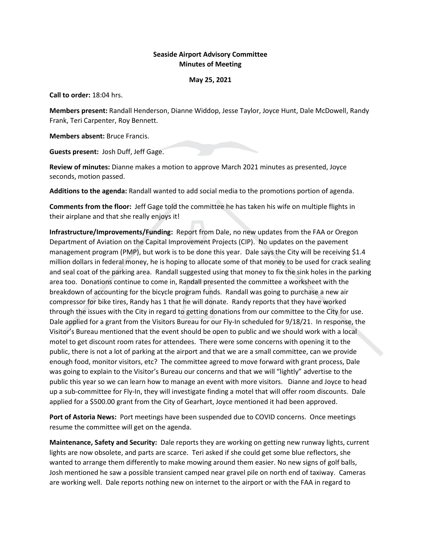## **Seaside Airport Advisory Committee Minutes of Meeting**

## **May 25, 2021**

**Call to order:** 18:04 hrs.

**Members present:** Randall Henderson, Dianne Widdop, Jesse Taylor, Joyce Hunt, Dale McDowell, Randy Frank, Teri Carpenter, Roy Bennett.

**Members absent:** Bruce Francis.

**Guests present:** Josh Duff, Jeff Gage.

**Review of minutes:** Dianne makes a motion to approve March 2021 minutes as presented, Joyce seconds, motion passed.

**Additions to the agenda:** Randall wanted to add social media to the promotions portion of agenda.

**Comments from the floor:** Jeff Gage told the committee he has taken his wife on multiple flights in their airplane and that she really enjoys it!

**Infrastructure/Improvements/Funding:** Report from Dale, no new updates from the FAA or Oregon Department of Aviation on the Capital Improvement Projects (CIP). No updates on the pavement management program (PMP), but work is to be done this year. Dale says the City will be receiving \$1.4 million dollars in federal money, he is hoping to allocate some of that money to be used for crack sealing and seal coat of the parking area. Randall suggested using that money to fix the sink holes in the parking area too. Donations continue to come in, Randall presented the committee a worksheet with the breakdown of accounting for the bicycle program funds. Randall was going to purchase a new air compressor for bike tires, Randy has 1 that he will donate. Randy reports that they have worked through the issues with the City in regard to getting donations from our committee to the City for use. Dale applied for a grant from the Visitors Bureau for our Fly-In scheduled for 9/18/21. In response, the Visitor's Bureau mentioned that the event should be open to public and we should work with a local motel to get discount room rates for attendees. There were some concerns with opening it to the public, there is not a lot of parking at the airport and that we are a small committee, can we provide enough food, monitor visitors, etc? The committee agreed to move forward with grant process, Dale was going to explain to the Visitor's Bureau our concerns and that we will "lightly" advertise to the public this year so we can learn how to manage an event with more visitors. Dianne and Joyce to head up a sub-committee for Fly-In, they will investigate finding a motel that will offer room discounts. Dale applied for a \$500.00 grant from the City of Gearhart, Joyce mentioned it had been approved.

**Port of Astoria News:** Port meetings have been suspended due to COVID concerns. Once meetings resume the committee will get on the agenda.

**Maintenance, Safety and Security:** Dale reports they are working on getting new runway lights, current lights are now obsolete, and parts are scarce. Teri asked if she could get some blue reflectors, she wanted to arrange them differently to make mowing around them easier. No new signs of golf balls, Josh mentioned he saw a possible transient camped near gravel pile on north end of taxiway. Cameras are working well. Dale reports nothing new on internet to the airport or with the FAA in regard to